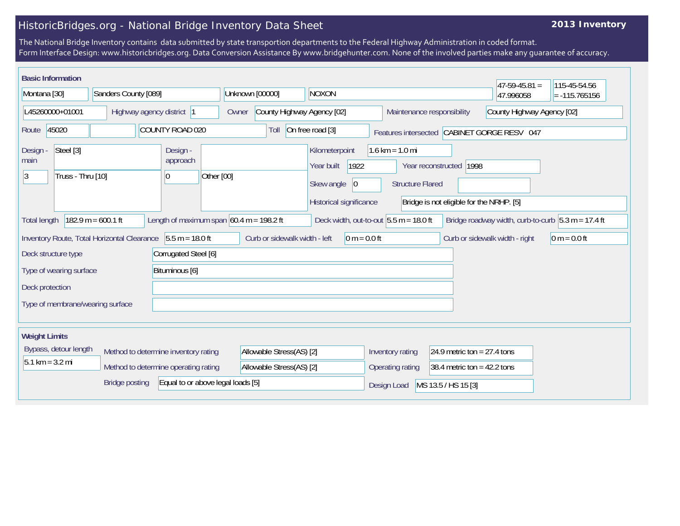## HistoricBridges.org - National Bridge Inventory Data Sheet

## **2013 Inventory**

The National Bridge Inventory contains data submitted by state transportion departments to the Federal Highway Administration in coded format. Form Interface Design: www.historicbridges.org. Data Conversion Assistance By www.bridgehunter.com. None of the involved parties make any guarantee of accuracy.

| <b>Basic Information</b>            |                                           |                                                             |                                     |                                                                                              |                                                              |                                                                     | $47 - 59 - 45.81 =$                                  | 115-45-54.56    |
|-------------------------------------|-------------------------------------------|-------------------------------------------------------------|-------------------------------------|----------------------------------------------------------------------------------------------|--------------------------------------------------------------|---------------------------------------------------------------------|------------------------------------------------------|-----------------|
| Montana [30]                        | Sanders County [089]                      |                                                             | Unknown [00000]                     | NOXON                                                                                        |                                                              |                                                                     | 47.996058                                            | $= -115.765156$ |
| L45260000+01001                     |                                           | Highway agency district 1                                   | County Highway Agency [02]<br>Owner |                                                                                              | Maintenance responsibility                                   |                                                                     | County Highway Agency [02]                           |                 |
| 45020<br>Route                      |                                           | COUNTY ROAD 020                                             | Toll                                | On free road [3]                                                                             | Features intersected CABINET GORGE RESV 047                  |                                                                     |                                                      |                 |
| Steel [3]<br>Design -<br>main<br>13 | Truss - Thru [10]                         | Design -<br>approach<br> 0                                  | Other [00]                          | Kilometerpoint<br>1922<br>Year built<br>Skew angle<br>$ 0\rangle$<br>Historical significance | $1.6 \text{ km} = 1.0 \text{ mi}$<br><b>Structure Flared</b> | Year reconstructed 1998<br>Bridge is not eligible for the NRHP. [5] |                                                      |                 |
| <b>Total length</b>                 | $182.9 m = 600.1 ft$                      | Length of maximum span $60.4$ m = 198.2 ft                  |                                     | Deck width, out-to-out $5.5 m = 18.0 ft$                                                     |                                                              |                                                                     | Bridge roadway width, curb-to-curb $5.3 m = 17.4 ft$ |                 |
|                                     |                                           | Inventory Route, Total Horizontal Clearance 5.5 m = 18.0 ft | Curb or sidewalk width - left       | $0 m = 0.0 ft$                                                                               |                                                              | Curb or sidewalk width - right                                      |                                                      | $ 0 m = 0.0 ft$ |
| Deck structure type                 |                                           | Corrugated Steel [6]                                        |                                     |                                                                                              |                                                              |                                                                     |                                                      |                 |
|                                     | Bituminous [6]<br>Type of wearing surface |                                                             |                                     |                                                                                              |                                                              |                                                                     |                                                      |                 |
| Deck protection                     |                                           |                                                             |                                     |                                                                                              |                                                              |                                                                     |                                                      |                 |
| Type of membrane/wearing surface    |                                           |                                                             |                                     |                                                                                              |                                                              |                                                                     |                                                      |                 |
| <b>Weight Limits</b>                |                                           |                                                             |                                     |                                                                                              |                                                              |                                                                     |                                                      |                 |
| Bypass, detour length               |                                           | Method to determine inventory rating                        | Allowable Stress(AS) [2]            |                                                                                              | Inventory rating                                             | 24.9 metric ton = $27.4$ tons                                       |                                                      |                 |
| $5.1 \text{ km} = 3.2 \text{ mi}$   |                                           | Method to determine operating rating                        | Allowable Stress(AS) [2]            |                                                                                              | Operating rating                                             | 38.4 metric ton = $42.2$ tons                                       |                                                      |                 |
|                                     | <b>Bridge posting</b>                     | Equal to or above legal loads [5]                           |                                     |                                                                                              | Design Load                                                  | MS 13.5 / HS 15 [3]                                                 |                                                      |                 |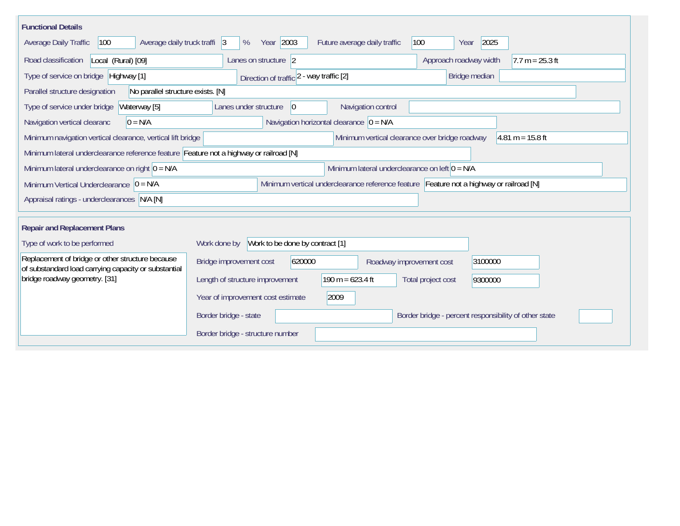| <b>Functional Details</b>                                                                                |                                                                                         |  |
|----------------------------------------------------------------------------------------------------------|-----------------------------------------------------------------------------------------|--|
| 100<br>Average daily truck traffi 3<br>Average Daily Traffic                                             | Year 2003<br>2025<br>100<br>%<br>Future average daily traffic<br>Year                   |  |
| Road classification<br>Local (Rural) [09]                                                                | Approach roadway width<br>$7.7 m = 25.3 ft$<br>Lanes on structure 2                     |  |
| Type of service on bridge Highway [1]                                                                    | Bridge median<br>Direction of traffic 2 - way traffic [2]                               |  |
| No parallel structure exists. [N]<br>Parallel structure designation                                      |                                                                                         |  |
| Waterway [5]<br>Type of service under bridge                                                             | 0 <br>Navigation control<br>Lanes under structure                                       |  |
| Navigation vertical clearanc<br>$0 = N/A$                                                                | Navigation horizontal clearance $ 0 = N/A$                                              |  |
| Minimum navigation vertical clearance, vertical lift bridge                                              | Minimum vertical clearance over bridge roadway<br>$4.81 m = 15.8 ft$                    |  |
| Minimum lateral underclearance reference feature Feature not a highway or railroad [N]                   |                                                                                         |  |
| Minimum lateral underclearance on right $ 0 = N/A$                                                       | Minimum lateral underclearance on left $0 = N/A$                                        |  |
| Minimum Vertical Underclearance $ 0 = N/A $                                                              | Minimum vertical underclearance reference feature Feature not a highway or railroad [N] |  |
| Appraisal ratings - underclearances N/A [N]                                                              |                                                                                         |  |
|                                                                                                          |                                                                                         |  |
| <b>Repair and Replacement Plans</b>                                                                      |                                                                                         |  |
| Type of work to be performed                                                                             | Work to be done by contract [1]<br>Work done by                                         |  |
| Replacement of bridge or other structure because<br>of substandard load carrying capacity or substantial | 620000<br>Bridge improvement cost<br>3100000<br>Roadway improvement cost                |  |
| bridge roadway geometry. [31]                                                                            | 190 m = $623.4$ ft<br>Length of structure improvement<br>Total project cost<br>9300000  |  |
|                                                                                                          | Year of improvement cost estimate<br>2009                                               |  |
|                                                                                                          | Border bridge - state<br>Border bridge - percent responsibility of other state          |  |
|                                                                                                          | Border bridge - structure number                                                        |  |